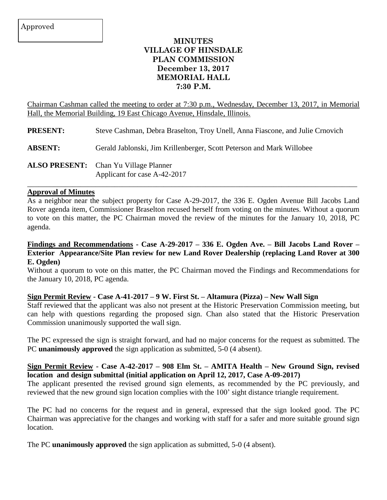# **MINUTES VILLAGE OF HINSDALE PLAN COMMISSION December 13, 2017 MEMORIAL HALL 7:30 P.M.**

Chairman Cashman called the meeting to order at 7:30 p.m., Wednesday, December 13, 2017, in Memorial Hall, the Memorial Building, 19 East Chicago Avenue, Hinsdale, Illinois.

**PRESENT:** Steve Cashman, Debra Braselton, Troy Unell, Anna Fiascone, and Julie Crnovich

**ABSENT:** Gerald Jablonski, Jim Krillenberger, Scott Peterson and Mark Willobee

**ALSO PRESENT:** Chan Yu Village Planner Applicant for case A-42-2017

#### **Approval of Minutes**

As a neighbor near the subject property for Case A-29-2017, the 336 E. Ogden Avenue Bill Jacobs Land Rover agenda item, Commissioner Braselton recused herself from voting on the minutes. Without a quorum to vote on this matter, the PC Chairman moved the review of the minutes for the January 10, 2018, PC agenda.

 $\_$  , and the set of the set of the set of the set of the set of the set of the set of the set of the set of the set of the set of the set of the set of the set of the set of the set of the set of the set of the set of th

#### **Findings and Recommendations - Case A-29-2017 – 336 E. Ogden Ave. – Bill Jacobs Land Rover – Exterior Appearance/Site Plan review for new Land Rover Dealership (replacing Land Rover at 300 E. Ogden)**

Without a quorum to vote on this matter, the PC Chairman moved the Findings and Recommendations for the January 10, 2018, PC agenda.

#### **Sign Permit Review - Case A-41-2017 – 9 W. First St. – Altamura (Pizza) – New Wall Sign**

Staff reviewed that the applicant was also not present at the Historic Preservation Commission meeting, but can help with questions regarding the proposed sign. Chan also stated that the Historic Preservation Commission unanimously supported the wall sign.

The PC expressed the sign is straight forward, and had no major concerns for the request as submitted. The PC **unanimously approved** the sign application as submitted, 5-0 (4 absent).

### **Sign Permit Review - Case A-42-2017 – 908 Elm St. – AMITA Health – New Ground Sign, revised location and design submittal (initial application on April 12, 2017, Case A-09-2017)**

The applicant presented the revised ground sign elements, as recommended by the PC previously, and reviewed that the new ground sign location complies with the 100' sight distance triangle requirement.

The PC had no concerns for the request and in general, expressed that the sign looked good. The PC Chairman was appreciative for the changes and working with staff for a safer and more suitable ground sign location.

The PC **unanimously approved** the sign application as submitted, 5-0 (4 absent).